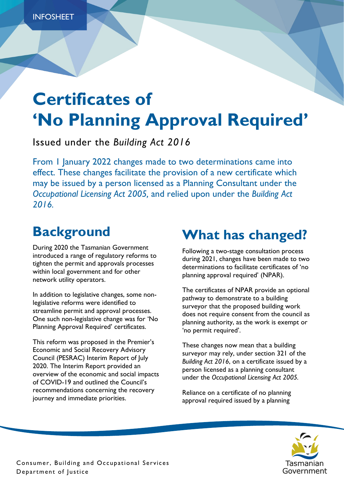# **Certificates of 'No Planning Approval Required'**

Issued under the *Building Act 2016*

From 1 January 2022 changes made to two determinations came into effect. These changes facilitate the provision of a new certificate which may be issued by a person licensed as a Planning Consultant under the *Occupational Licensing Act 2005,* and relied upon under the *Building Act 2016.*

# **Background**

During 2020 the Tasmanian Government introduced a range of regulatory reforms to tighten the permit and approvals processes within local government and for other network utility operators.

In addition to legislative changes, some nonlegislative reforms were identified to streamline permit and approval processes. One such non-legislative change was for 'No Planning Approval Required' certificates.

This reform was proposed in the Premier's Economic and Social Recovery Advisory Council (PESRAC) Interim Report of July 2020. The Interim Report provided an overview of the economic and social impacts of COVID-19 and outlined the Council's recommendations concerning the recovery journey and immediate priorities.

# **What has changed?**

Following a two-stage consultation process during 2021, changes have been made to two determinations to facilitate certificates of 'no planning approval required' (NPAR).

The certificates of NPAR provide an optional pathway to demonstrate to a building surveyor that the proposed building work does not require consent from the council as planning authority, as the work is exempt or 'no permit required'.

These changes now mean that a building surveyor may rely, under section 321 of the *Building Act 2016*, on a certificate issued by a person licensed as a planning consultant under the *Occupational Licensing Act 2005.* 

Reliance on a certificate of no planning approval required issued by a planning

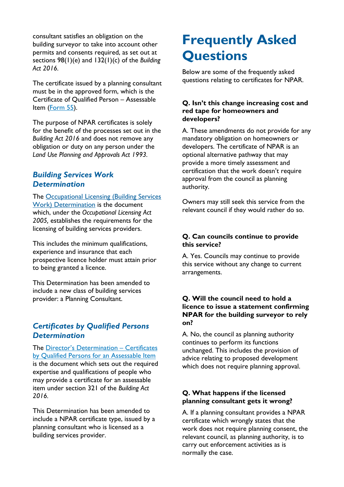consultant satisfies an obligation on the building surveyor to take into account other permits and consents required, as set out at sections 98(1)(e) and 132(1)(c) of the *Building Act 2016.* 

The certificate issued by a planning consultant must be in the approved form, which is the Certificate of Qualified Person – Assessable Item [\(Form 55\)](https://www.cbos.tas.gov.au/topics/resources-tools/builders-trades).

The purpose of NPAR certificates is solely for the benefit of the processes set out in the *Building Act 2016* and does not remove any obligation or duty on any person under the *Land Use Planning and Approvals Act 1993.* 

### *Building Services Work Determination*

The [Occupational Licensing \(Building Services](https://www.cbos.tas.gov.au/topics/resources-tools/builders-trades)  [Work\) Determination](https://www.cbos.tas.gov.au/topics/resources-tools/builders-trades) is the document which, under the *Occupational Licensing Act 2005,* establishes the requirements for the licensing of building services providers.

This includes the minimum qualifications, experience and insurance that each prospective licence holder must attain prior to being granted a licence.

This Determination has been amended to include a new class of building services provider: a Planning Consultant.

### *Certificates by Qualified Persons Determination*

The [Director's Determination –](https://www.cbos.tas.gov.au/topics/resources-tools/builders-trades) Certificates [by Qualified Persons for an Assessable Item](https://www.cbos.tas.gov.au/topics/resources-tools/builders-trades) is the document which sets out the required expertise and qualifications of people who may provide a certificate for an assessable item under section 321 of the *Building Act 2016.* 

This Determination has been amended to include a NPAR certificate type, issued by a planning consultant who is licensed as a building services provider.

## **Frequently Asked Questions**

Below are some of the frequently asked questions relating to certificates for NPAR.

#### **Q. Isn't this change increasing cost and red tape for homeowners and developers?**

A. These amendments do not provide for any mandatory obligation on homeowners or developers. The certificate of NPAR is an optional alternative pathway that may provide a more timely assessment and certification that the work doesn't require approval from the council as planning authority.

Owners may still seek this service from the relevant council if they would rather do so.

#### **Q. Can councils continue to provide this service?**

A. Yes. Councils may continue to provide this service without any change to current arrangements.

#### **Q. Will the council need to hold a licence to issue a statement confirming NPAR for the building surveyor to rely on?**

A. No, the council as planning authority continues to perform its functions unchanged. This includes the provision of advice relating to proposed development which does not require planning approval.

#### **Q. What happens if the licensed planning consultant gets it wrong?**

A. If a planning consultant provides a NPAR certificate which wrongly states that the work does not require planning consent, the relevant council, as planning authority, is to carry out enforcement activities as is normally the case.